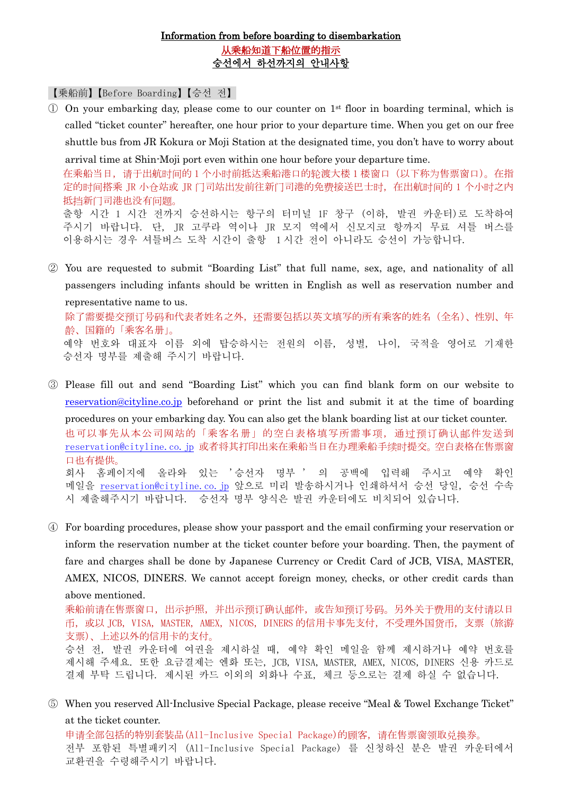## Information from before boarding to disembarkation 从乘船知道下船位置的指示 승선에서 하선까지의 안내사항

【乗船前】【Before Boarding】【승선 전】

 $\overline{1}$  On your embarking day, please come to our counter on 1<sup>st</sup> floor in boarding terminal, which is called "ticket counter" hereafter, one hour prior to your departure time. When you get on our free shuttle bus from JR Kokura or Moji Station at the designated time, you don't have to worry about

arrival time at Shin-Moji port even within one hour before your departure time. 在乘船当日,请于出航时间的 1 个小时前抵达乘船港口的轮渡大楼 1 楼窗口(以下称为售票窗口)。在指 定的时间搭乘 JR 小仓站或 JR 门司站出发前往新门司港的免费接送巴士时,在出航时间的 1 个小时之内 抵挡新门司港也没有问题。

출항 시간 1 시간 전까지 승선하시는 항구의 터미널 1F 창구 (이하, 발권 카운터)로 도착하여 주시기 바랍니다. 단, JR 고쿠라 역이나 JR 모지 역에서 신모지코 항까지 무료 셔틀 버스를 이용하시는 경우 셔틀버스 도착 시간이 출항 1 시간 전이 아니라도 승선이 가능합니다.

- ② You are requested to submit "Boarding List" that full name, sex, age, and nationality of all passengers including infants should be written in English as well as reservation number and representative name to us. 除了需要提交预订号码和代表者姓名之外,还需要包括以英文填写的所有乘客的姓名(全名)、性別、年 龄、国籍的「乘客名册」。 예약 번호와 대표자 이름 외에 탑승하시는 전원의 이름, 성별, 나이, 국적을 영어로 기재한 승선자 명부를 제출해 주시기 바랍니다.
- ③ Please fill out and send "Boarding List" which you can find blank form on our website to [reservation@cityline.co.jp](mailto:reservation@cityline.co.jp) beforehand or print the list and submit it at the time of boarding procedures on your embarking day. You can also get the blank boarding list at our ticket counter. 也可以事先从本公司网站的「乘客名册」的空白表格填写所需事项,通过预订确认邮件发送到 [reservation@cityline.co.jp](mailto:reservation@cityline.co.jp) 或者将其打印出来在乘船当日在办理乘船手续时提交。空白表格在售票窗 口也有提供。 회사 홈페이지에 올라와 있는 '승선자 명부 ' 의 공백에 입력해 주시고 예약 확인 메일을 [reservation@cityline.co.jp](mailto:reservation@cityline.co.jp) 앞으로 미리 발송하시거나 인쇄하셔서 승선 당일, 승선 수속 시 제출해주시기 바랍니다. 승선자 명부 양식은 발권 카운터에도 비치되어 있습니다.
- ④ For boarding procedures, please show your passport and the email confirming your reservation or inform the reservation number at the ticket counter before your boarding. Then, the payment of fare and charges shall be done by Japanese Currency or Credit Card of JCB, VISA, MASTER, AMEX, NICOS, DINERS. We cannot accept foreign money, checks, or other credit cards than above mentioned.

乘船前请在售票窗口,出示护照,并出示预订确认邮件,或告知预订号码。另外关于费用的支付请以日 币,或以 JCB, VISA, MASTER, AMEX, NICOS, DINERS 的信用卡事先支付,不受理外国货币,支票(旅游 支票)、上述以外的信用卡的支付。

승선 전, 발권 카운터에 여권을 제시하실 때, 예약 확인 메일을 함께 제시하거나 예약 번호를 제시해 주세요. 또한 요금결제는 엔화 또는, JCB, VISA, MASTER, AMEX, NICOS, DINERS 신용 카드로 결제 부탁 드립니다. 제시된 카드 이외의 외화나 수표, 체크 등으로는 결제 하실 수 없습니다.

⑤ When you reserved All-Inclusive Special Package, please receive "Meal & Towel Exchange Ticket" at the ticket counter.

申请全部包括的特別套裝品(All-Inclusive Special Package)的顾客,请在售票窗领取兑换券。 전부 포함된 특별패키지 (All-Inclusive Special Package) 를 신청하신 분은 발권 카운터에서 교환권을 수령해주시기 바랍니다.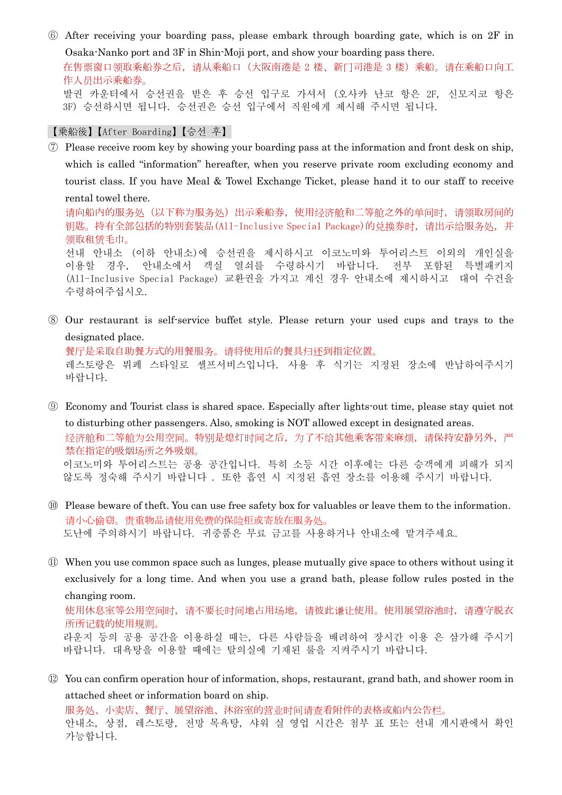⑥ After receiving your boarding pass, please embark through boarding gate, which is on 2F in Osaka-Nanko port and 3F in Shin-Moji port, and show your boarding pass there.

在售票窗口领取乘船券之后,请从乘船口(大阪南港是 2 楼、新门司港是 3 楼) 乘船。请在乘船口向工 作人员出示乘船券。 발권 카운터에서 승선권을 받은 후 승선 입구로 가셔서 (오사카 난코 항은 2F, 신모지코 항은

3F) 승선하시면 됩니다. 승선권은 승선 입구에서 직원에게 제시해 주시면 됩니다.

## 【乗船後】【After Boarding】【승선 후】

- ⑦ Please receive room key by showing your boarding pass at the information and front desk on ship, which is called "information" hereafter, when you reserve private room excluding economy and tourist class. If you have Meal & Towel Exchange Ticket, please hand it to our staff to receive rental towel there. 请向船内的服务处(以下称为服务处)出示乘船券,使用经济舱和二等舱之外的单间时,请领取房间的 钥匙。持有全部包括的特別套裝品(All-Inclusive Special Package)的兑换券时,请出示给服务处,并 领取租赁毛巾。 선내 안내소 (이하 안내소)에 승선권을 제시하시고 이코노미와 투어리스트 이외의 개인실을 이용할 경우, 안내소에서 객실 열쇠를 수령하시기 바랍니다. 전부 포함된 특별패키지 (All-Inclusive Special Package) 교환권을 가지고 계신 경우 안내소에 제시하시고 대여 수건을 수령하여주십시오.
- ⑧ Our restaurant is self-service buffet style. Please return your used cups and trays to the designated place.

餐厅是采取自助餐方式的用餐服务。请将使用后的餐具归还到指定位置。 레스토랑은 뷔페 스타일로 셀프서비스입니다. 사용 후 식기는 지정된 장소에 반납하여주시기 바랍니다.

- ⑨ Economy and Tourist class is shared space. Especially after lights-out time, please stay quiet not to disturbing other passengers. Also, smoking is NOT allowed except in designated areas. 经济舱和二等舱为公用空间。特别是熄灯时间之后,为了不给其他乘客带来麻烦,请保持安静另外,严 禁在指定的吸烟场所之外吸烟。 이코노미와 투어리스트는 공용 공간입니다. 특히 소등 시간 이후에는 다른 승객에게 피해가 되지 않도록 정숙해 주시기 바랍니다 . 또한 흡연 시 지정된 흡연 장소를 이용해 주시기 바랍니다.
- ⑩ Please beware of theft. You can use free safety box for valuables or leave them to the information. 请小心偷窃。贵重物品请使用免费的保险柜或寄放在服务处。 도난에 주의하시기 바랍니다. 귀중품은 무료 금고를 사용하거나 안내소에 맡겨주세요.
- ⑪ When you use common space such as lunges, please mutually give space to others without using it exclusively for a long time. And when you use a grand bath, please follow rules posted in the changing room. 使用休息室等公用空间时,请不要长时间地占用场地,请彼此谦让使用。使用展望浴池时,请遵守脱衣 所所记载的使用规则。

 라운지 등의 공용 공간을 이용하실 때는, 다른 사람들을 배려하여 장시간 이용 은 삼가해 주시기 바랍니다. 대욕탕을 이용할 때에는 탈의실에 기재된 룰을 지켜주시기 바랍니다.

⑫ You can confirm operation hour of information, shops, restaurant, grand bath, and shower room in attached sheet or information board on ship.

服务处、小卖店、餐厅、展望浴池、沐浴室的营业时间请查看附件的表格或船内公告栏。 안내소, 상점, 레스토랑, 전망 목욕탕, 샤워 실 영업 시간은 첨부 표 또는 선내 게시판에서 확인 가능합니다.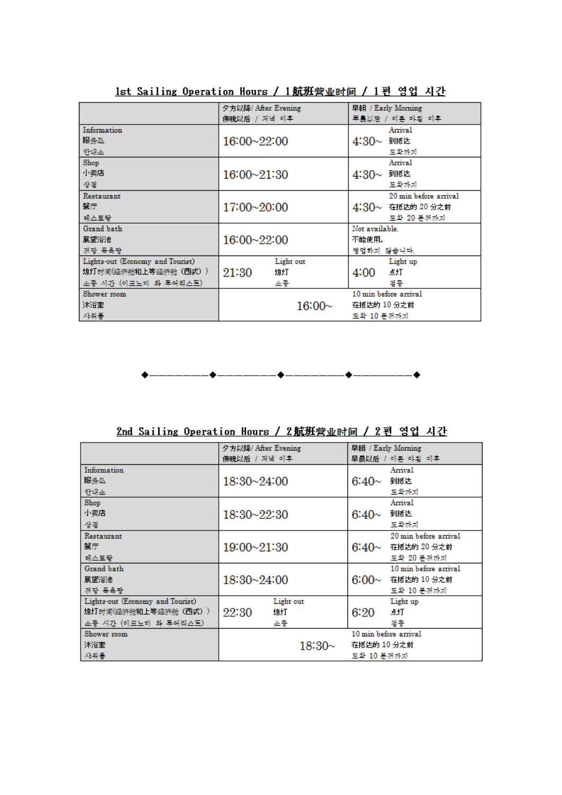|                                  | 夕方以降/ After Evening | 早朝 / Early Morning     |  |
|----------------------------------|---------------------|------------------------|--|
|                                  | 傍晚以后 / 저녁 이후        | 早最以后 / 이른 아침 이후        |  |
| Information                      |                     | Arrival                |  |
| 服务处                              | 16:00~22:00         | $4:30\sim$<br>到抵达      |  |
| 안내소                              |                     | 도착까지                   |  |
| Shop                             |                     | Arrival                |  |
| 小卖店                              | $16:00 - 21:30$     | 到抵达<br>$4:30\sim$      |  |
| 상점                               |                     | 도착까지                   |  |
| Restaurant                       |                     | 20 min before arrival  |  |
| 蟹厅                               | 17:00~20:00         | $4:30-$<br>在抵达的 20 分之前 |  |
| 레스토랑                             |                     | 도착 20 분전까지             |  |
| Grand bath                       |                     | Not available.         |  |
| 展望浴池                             | 16:00~22:00         | 不能使用。                  |  |
| 전망 목욕탕                           |                     | 영업하지 않습니다.             |  |
| Lights-out (Economy and Tourist) | Light out           | Light up               |  |
| 熄灯时间(经济舱和上等经济舱(西式))              | 21:30<br>熄灯         | 4:00<br>点灯             |  |
| 소등 시간 (이코노미 와 투어리스트)             | 소등                  | 점등                     |  |
| Shower room                      |                     | 10 min before arrival  |  |
| 沐浴室                              | 16:00~              | 在抵达的 10 分之前            |  |
| 사위통                              |                     | 도착 10 분경까지             |  |

1st Sailing Operation Hours / 1航班营业时间 / 1편 영업 시간



2nd Sailing Operation Hours / 2航班营业时间 / 2 편 영업 시간

|                                  | 夕方以降/ After Evening |                       |             | 早朝 / Early Morning |                       |
|----------------------------------|---------------------|-----------------------|-------------|--------------------|-----------------------|
|                                  | 傍晚以后 / 저녁 이후        |                       |             |                    | 早晨以后 / 이른 아침 이후       |
| Information                      |                     |                       |             |                    | Arrival               |
| 服务处                              | $18:30 - 24:00$     |                       |             | 6:40 $\sim$        | 到抵达                   |
| 안내소                              |                     |                       |             |                    | 도착까지                  |
| Shop                             |                     |                       |             |                    | Arrival               |
| 小卖店                              | $18:30 - 22:30$     |                       |             | 6:40 $\sim$        | 到抵达                   |
| 상천                               |                     |                       |             |                    | 도착까지                  |
| Restaurant                       |                     |                       |             |                    | 20 min before arrival |
| 蟹厅                               | 19:00~21:30         |                       |             | 6:40 $\sim$        | 在抵达的 20 分之前           |
| 레스토랑                             |                     |                       |             |                    | 도착 20 분전까지            |
| Grand bath                       |                     |                       |             |                    | 10 min before arrival |
| 展望浴池                             | 18:30~24:00         |                       |             | 6:00~              | 在抵达的 10 分之前           |
| 저망 목욕탕                           |                     |                       |             |                    | 도착 10 분경까지            |
| Lights-out (Economy and Tourist) |                     | Light out             |             |                    | Light up              |
| 熄灯时间(经济舱和上等经济舱(西式))              | 22:30               | 熄灯                    |             | 6:20               | 点灯                    |
| 소등 시간 (이코노미 와 투어리스트)             |                     | 소등                    |             |                    | 점등                    |
| Shower room                      |                     | 10 min before arrival |             |                    |                       |
| 沐浴室                              | $18:30\sim$         |                       | 在抵达的 10 分之前 |                    |                       |
| 사위통                              |                     |                       |             | 도착 10 분경까지         |                       |